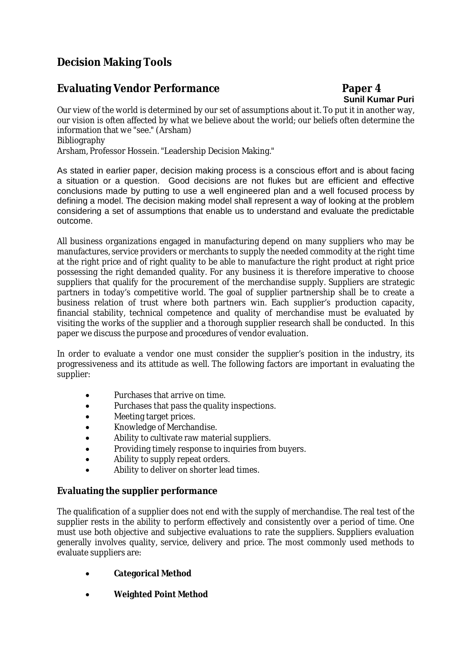# **Decision Making Tools**

# **Evaluating Vendor Performance Paper 4**

# **Sunil Kumar Puri**

Our view of the world is determined by our set of assumptions about it. To put it in another way, our vision is often affected by what we believe about the world; our beliefs often determine the information that we "see." (Arsham) Bibliography

Arsham, Professor Hossein. "Leadership Decision Making."

As stated in earlier paper, decision making process is a conscious effort and is about facing a situation or a question. Good decisions are not flukes but are efficient and effective conclusions made by putting to use a well engineered plan and a well focused process by defining a model. The decision making model shall represent a way of looking at the problem considering a set of assumptions that enable us to understand and evaluate the predictable outcome.

All business organizations engaged in manufacturing depend on many suppliers who may be manufactures, service providers or merchants to supply the needed commodity at the right time at the right price and of right quality to be able to manufacture the right product at right price possessing the right demanded quality. For any business it is therefore imperative to choose suppliers that qualify for the procurement of the merchandise supply. Suppliers are strategic partners in today's competitive world. The goal of supplier partnership shall be to create a business relation of trust where both partners win. Each supplier's production capacity, financial stability, technical competence and quality of merchandise must be evaluated by visiting the works of the supplier and a thorough supplier research shall be conducted. In this paper we discuss the purpose and procedures of vendor evaluation.

In order to evaluate a vendor one must consider the supplier's position in the industry, its progressiveness and its attitude as well. The following factors are important in evaluating the supplier:

- Purchases that arrive on time.
- Purchases that pass the quality inspections.
- Meeting target prices.
- Knowledge of Merchandise.
- Ability to cultivate raw material suppliers.
- Providing timely response to inquiries from buyers.
- Ability to supply repeat orders.
- Ability to deliver on shorter lead times.

## **Evaluating the supplier performance**

The qualification of a supplier does not end with the supply of merchandise. The real test of the supplier rests in the ability to perform effectively and consistently over a period of time. One must use both objective and subjective evaluations to rate the suppliers. Suppliers evaluation generally involves quality, service, delivery and price. The most commonly used methods to evaluate suppliers are:

- **Categorical Method**
- **Weighted Point Method**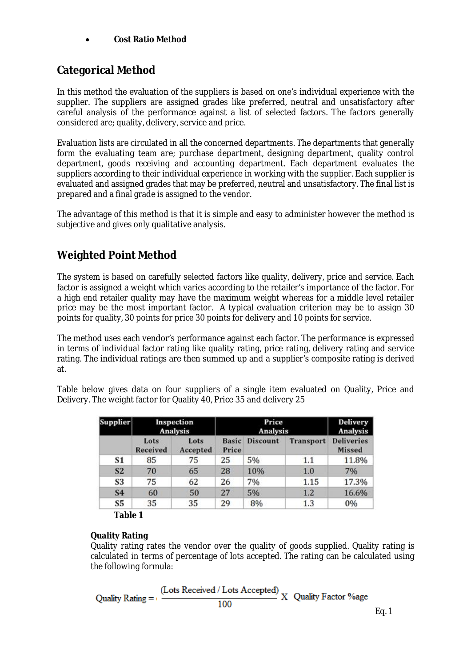## **Cost Ratio Method**

# **Categorical Method**

In this method the evaluation of the suppliers is based on one's individual experience with the supplier. The suppliers are assigned grades like preferred, neutral and unsatisfactory after careful analysis of the performance against a list of selected factors. The factors generally considered are; quality, delivery, service and price.

Evaluation lists are circulated in all the concerned departments. The departments that generally form the evaluating team are; purchase department, designing department, quality control department, goods receiving and accounting department. Each department evaluates the suppliers according to their individual experience in working with the supplier. Each supplier is evaluated and assigned grades that may be preferred, neutral and unsatisfactory. The final list is prepared and a final grade is assigned to the vendor.

The advantage of this method is that it is simple and easy to administer however the method is subjective and gives only qualitative analysis.

# **Weighted Point Method**

The system is based on carefully selected factors like quality, delivery, price and service. Each factor is assigned a weight which varies according to the retailer's importance of the factor. For a high end retailer quality may have the maximum weight whereas for a middle level retailer price may be the most important factor. A typical evaluation criterion may be to assign 30 points for quality, 30 points for price 30 points for delivery and 10 points for service.

The method uses each vendor's performance against each factor. The performance is expressed in terms of individual factor rating like quality rating, price rating, delivery rating and service rating. The individual ratings are then summed up and a supplier's composite rating is derived at.

Table below gives data on four suppliers of a single item evaluated on Quality, Price and Delivery. The weight factor for Quality 40, Price 35 and delivery 25

| <b>Supplier</b> | Inspection<br>Analysis |                  | Price<br>Analysis     |                 |                  | <b>Delivery</b><br>Analysis        |
|-----------------|------------------------|------------------|-----------------------|-----------------|------------------|------------------------------------|
|                 | Lots<br>Received       | Lots<br>Accepted | <b>Basic</b><br>Price | <b>Discount</b> | <b>Transport</b> | <b>Deliveries</b><br><b>Missed</b> |
| S1              | 85                     | 75               | 25                    | 5%              | 1.1              | 11.8%                              |
| <b>S2</b>       | 70                     | 65               | 28                    | 10%             | 1.0              | 7%                                 |
| S3              | 75                     | 62               | 26                    | 7%              | 1.15             | 17.3%                              |
| S <sub>4</sub>  | 60                     | 50               | 27                    | 5%              | 1.2              | 16.6%                              |
| S5              | 35                     | 35               | 29                    | 8%              | 1.3              | 0%                                 |

**Table 1**

## **Quality Rating**

Quality rating rates the vendor over the quality of goods supplied. Quality rating is calculated in terms of percentage of lots accepted. The rating can be calculated using the following formula:

Quality Rating = 
$$
\frac{\text{(Lots Received / Lots Accepted)}}{100} \text{ X Quality Factor %age}
$$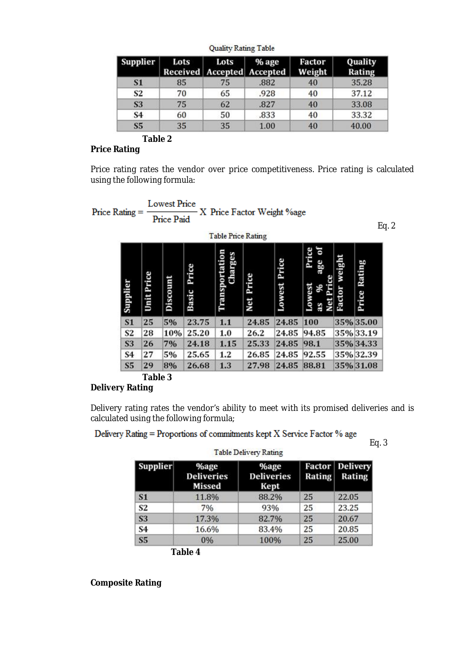| <b>Supplier</b> | Lots | Lots<br>Received Accepted Accepted | % age | Factor<br>Weight | Quality<br>Rating |
|-----------------|------|------------------------------------|-------|------------------|-------------------|
| <b>S1</b>       | 85   | 75                                 | .882  | 40               | 35.28             |
| S <sub>2</sub>  | 70   | 65                                 | .928  | 40               | 37.12             |
| <b>S3</b>       | 75   | 62                                 | .827  | 40               | 33.08             |
| S <sub>4</sub>  | 60   | 50                                 | .833  | 40               | 33.32             |
| S5              | 35   | 35                                 | 1.00  | 40               | 40.00             |

**Quality Rating Table** 

#### **Table 2 Price Rating**

Price rating rates the vendor over price competitiveness. Price rating is calculated using the following formula:



## **Table 3 Delivery Rating**

Delivery rating rates the vendor's ability to meet with its promised deliveries and is calculated using the following formula;

|  | Delivery Rating = Proportions of commitments kept X Service Factor % age |
|--|--------------------------------------------------------------------------|
|--|--------------------------------------------------------------------------|

| Supplier       | <b>%age</b><br><b>Deliveries</b><br>Missed | <b>%age</b><br><b>Deliveries</b><br>Kept | Rating | <b>Factor Delivery</b><br>Rating |
|----------------|--------------------------------------------|------------------------------------------|--------|----------------------------------|
| S <sub>1</sub> | 11.8%                                      | 88.2%                                    | 25     | 22.05                            |
| S <sub>2</sub> | 7%                                         | 93%                                      | 25     | 23.25                            |
| <b>S3</b>      | 17.3%                                      | 82.7%                                    | 25     | 20.67                            |
| S <sub>4</sub> | 16.6%                                      | 83.4%                                    | 25     | 20.85                            |
| S <sub>5</sub> | 0%                                         | 100%                                     | 25     | 25.00                            |

 $Fa. 3$ 

**Composite Rating**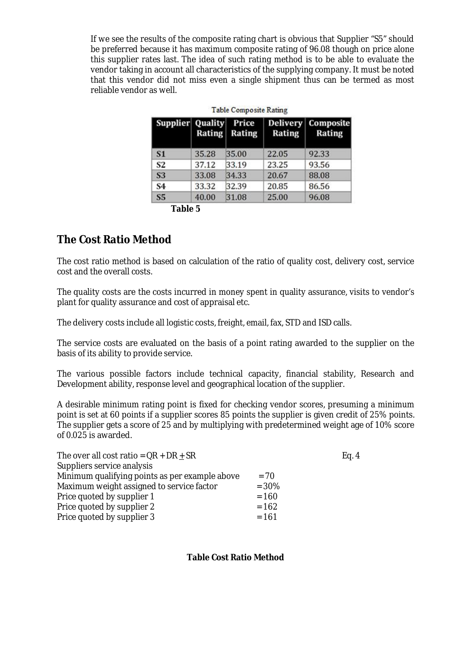If we see the results of the composite rating chart is obvious that Supplier "S5" should be preferred because it has maximum composite rating of 96.08 though on price alone this supplier rates last. The idea of such rating method is to be able to evaluate the vendor taking in account all characteristics of the supplying company. It must be noted that this vendor did not miss even a single shipment thus can be termed as most reliable vendor as well.

| Supplier Quality | <b>Rating</b> | Price<br>Rating | <b>Delivery</b><br>Rating | Composite<br>Rating |
|------------------|---------------|-----------------|---------------------------|---------------------|
| S <sub>1</sub>   | 35.28         | 35.00           | 22.05                     | 92.33               |
| S <sub>2</sub>   | 37.12         | 33.19           | 23.25                     | 93.56               |
| <b>S3</b>        | 33.08         | 34.33           | 20.67                     | 88.08               |
| S <sub>4</sub>   | 33.32         | 32.39           | 20.85                     | 86.56               |
| S5               | 40.00         | 31.08           | 25.00                     | 96.08               |

**Table 5**

# **The Cost Ratio Method**

The cost ratio method is based on calculation of the ratio of quality cost, delivery cost, service cost and the overall costs.

The quality costs are the costs incurred in money spent in quality assurance, visits to vendor's plant for quality assurance and cost of appraisal etc.

The delivery costs include all logistic costs, freight, email, fax, STD and ISD calls.

The service costs are evaluated on the basis of a point rating awarded to the supplier on the basis of its ability to provide service.

The various possible factors include technical capacity, financial stability, Research and Development ability, response level and geographical location of the supplier.

A desirable minimum rating point is fixed for checking vendor scores, presuming a minimum point is set at 60 points if a supplier scores 85 points the supplier is given credit of 25% points. The supplier gets a score of 25 and by multiplying with predetermined weight age of 10% score of 0.025 is awarded.

|         | Eq. 4 |
|---------|-------|
|         |       |
| $= 70$  |       |
| $= 30%$ |       |
| $= 160$ |       |
| $= 162$ |       |
| $= 161$ |       |
|         |       |

## **Table Cost Ratio Method**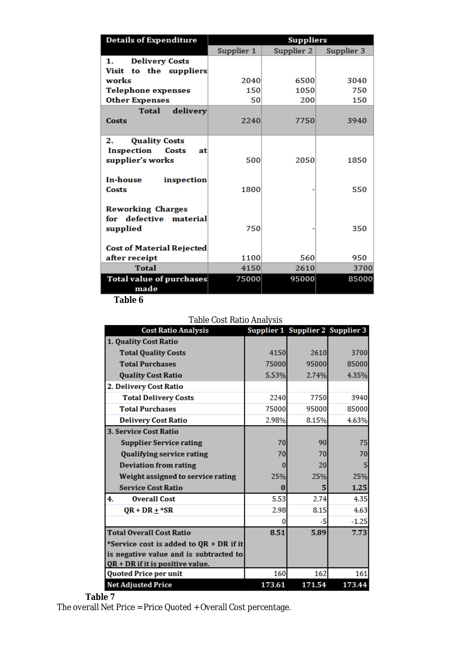| <b>Details of Expenditure</b>    | <b>Suppliers</b> |            |            |  |  |
|----------------------------------|------------------|------------|------------|--|--|
|                                  | Supplier 1       | Supplier 2 | Supplier 3 |  |  |
| <b>Delivery Costs</b><br>1.      |                  |            |            |  |  |
| Visit to the suppliers           |                  |            |            |  |  |
| works                            | 2040             | 6500       | 3040       |  |  |
| <b>Telephone expenses</b>        | 150              | 1050       | 750        |  |  |
| <b>Other Expenses</b>            | 50               | 200        | 150        |  |  |
| delivery<br><b>Total</b>         |                  |            |            |  |  |
| <b>Costs</b>                     | 2240             | 7750       | 3940       |  |  |
|                                  |                  |            |            |  |  |
| <b>Quality Costs</b><br>2.       |                  |            |            |  |  |
| Inspection<br>Costs<br>atl       |                  |            |            |  |  |
| supplier's works                 | 500              | 2050       | 1850       |  |  |
| <b>In-house</b><br>inspection    |                  |            |            |  |  |
| Costs                            | 1800             |            | 550        |  |  |
|                                  |                  |            |            |  |  |
| <b>Reworking Charges</b>         |                  |            |            |  |  |
| for defective material           |                  |            |            |  |  |
| supplied                         | 750              |            | 350        |  |  |
|                                  |                  |            |            |  |  |
| <b>Cost of Material Rejected</b> |                  |            |            |  |  |
| after receipt                    | 1100             | 560        | 950        |  |  |
| Total                            | 4150             | 2610       | 3700       |  |  |
| <b>Total value of purchases</b>  | 75000            | 95000      | 85000      |  |  |
| made                             |                  |            |            |  |  |

**Table 6**

### Table Cost Ratio Analysis

| <b>Cost Ratio Analysis</b>              |        | Supplier 1 Supplier 2 Supplier 3 |         |
|-----------------------------------------|--------|----------------------------------|---------|
| 1. Quality Cost Ratio                   |        |                                  |         |
| <b>Total Quality Costs</b>              | 4150   | 2610                             | 3700    |
| <b>Total Purchases</b>                  | 75000  | 95000                            | 85000   |
| <b>Quality Cost Ratio</b>               | 5.53%  | 2.74%                            | 4.35%   |
| 2. Delivery Cost Ratio                  |        |                                  |         |
| <b>Total Delivery Costs</b>             | 2240   | 7750                             | 3940    |
| <b>Total Purchases</b>                  | 75000  | 95000                            | 85000   |
| <b>Delivery Cost Ratio</b>              | 2.98%  | 8.15%                            | 4.63%   |
| <b>3. Service Cost Ratio</b>            |        |                                  |         |
| <b>Supplier Service rating</b>          | 70     | 90                               | 75      |
| <b>Qualifying service rating</b>        | 70     | 70                               | 70      |
| <b>Deviation from rating</b>            |        | 20                               | 5       |
| Weight assigned to service rating       | 25%    | 25%                              | 25%     |
| <b>Service Cost Ratio</b>               | 0      | 5                                | 1.25    |
| 4.<br><b>Overall Cost</b>               | 5.53   | 2.74                             | 4.35    |
| $OR + DR + *SR$                         | 2.98   | 8.15                             | 4.63    |
|                                         | 0      | -5                               | $-1.25$ |
| <b>Total Overall Cost Ratio</b>         | 8.51   | 5.89                             | 7.73    |
| *Service cost is added to QR + DR if it |        |                                  |         |
| is negative value and is subtracted to  |        |                                  |         |
| $QR + DR$ if it is positive value.      |        |                                  |         |
| Quoted Price per unit                   | 160    | 162                              | 161     |
| <b>Net Adjusted Price</b>               | 173.61 | 171.54                           | 173.44  |

**Table 7**

The overall Net Price = Price Quoted + Overall Cost percentage.